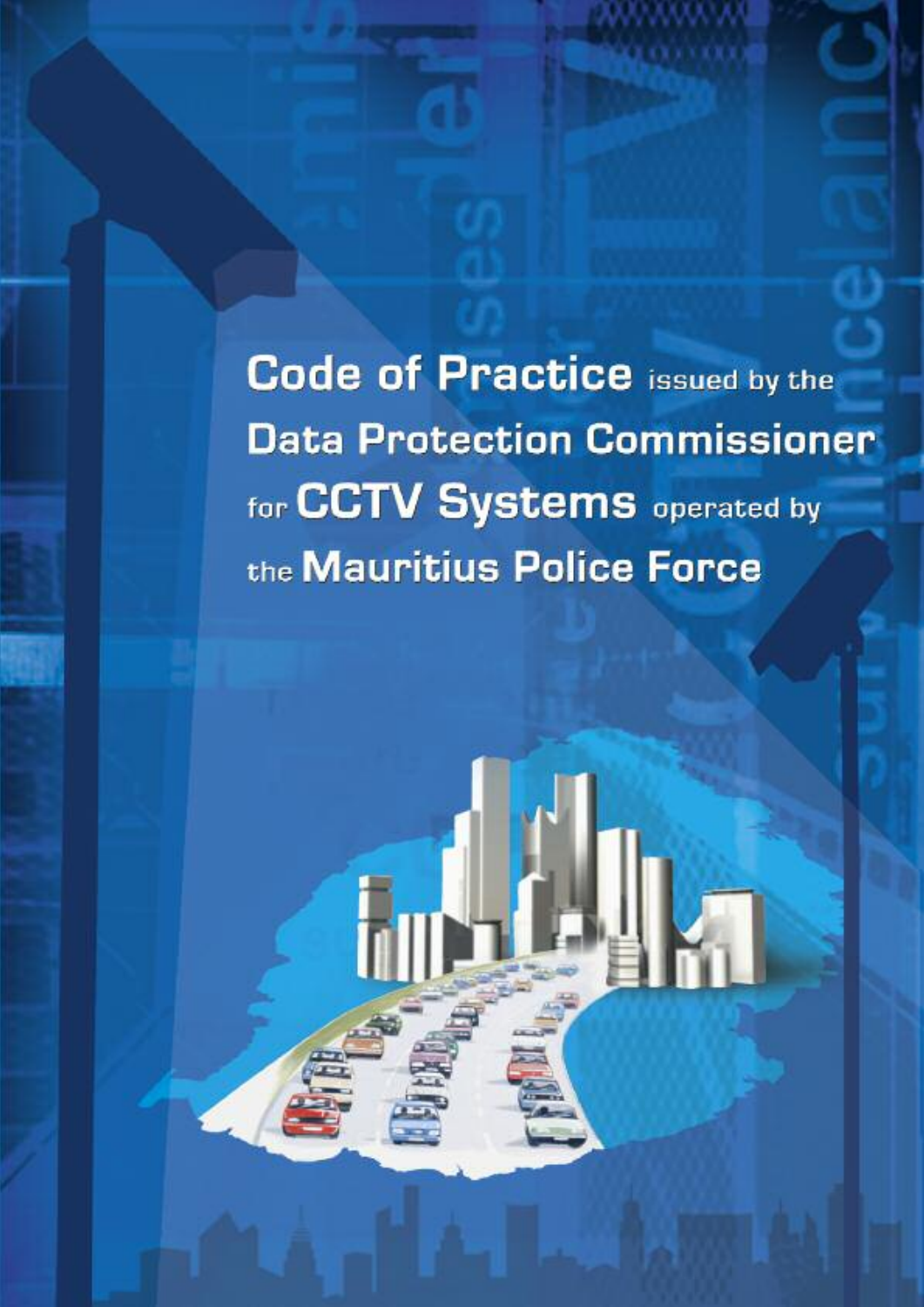**Code of Practice issued by the Data Protection Commissioner** for CCTV Systems operated by the Mauritius Police Force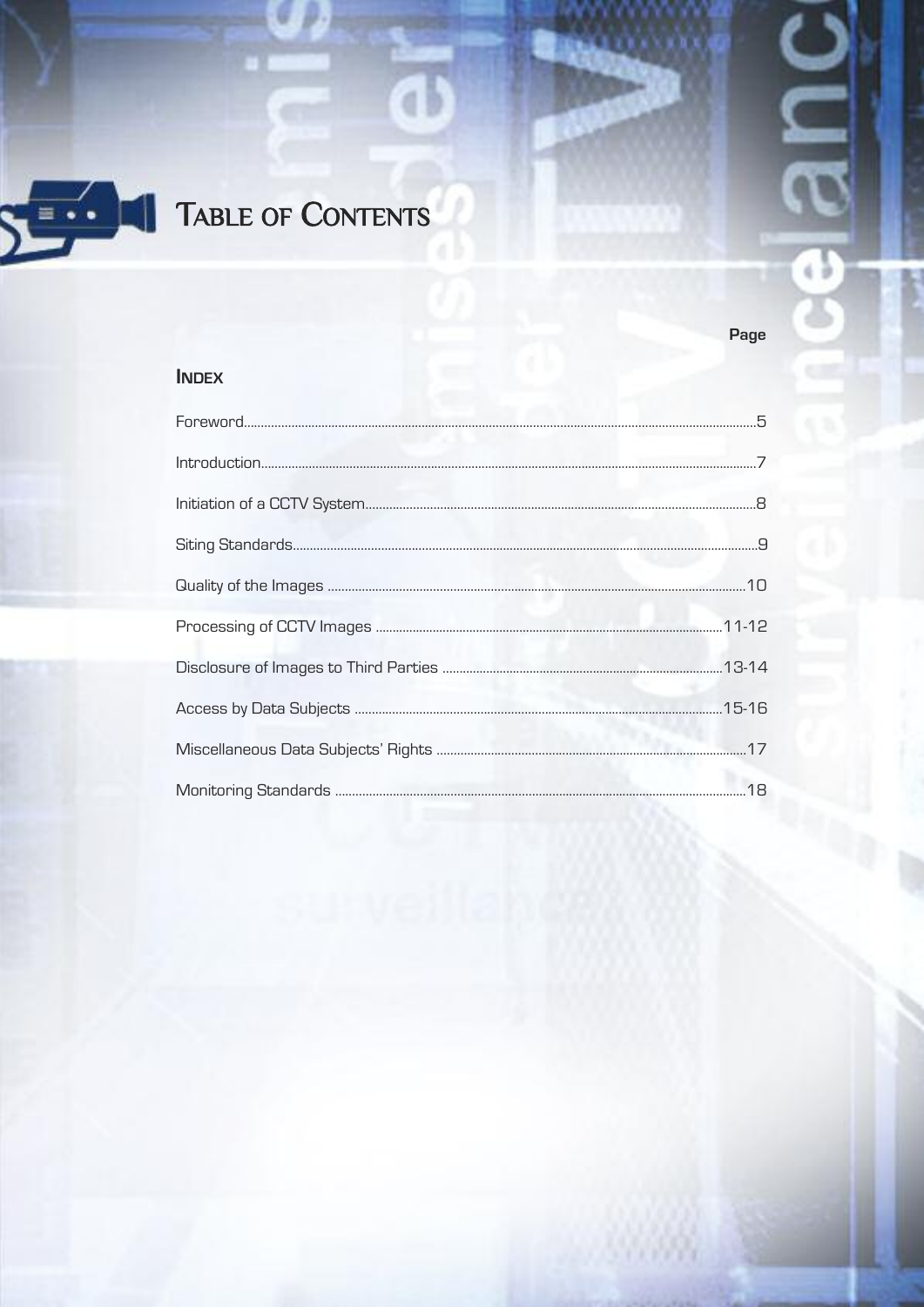

# TABLE OF CONTENTS

**INDEX** 

a b

Page

۷Š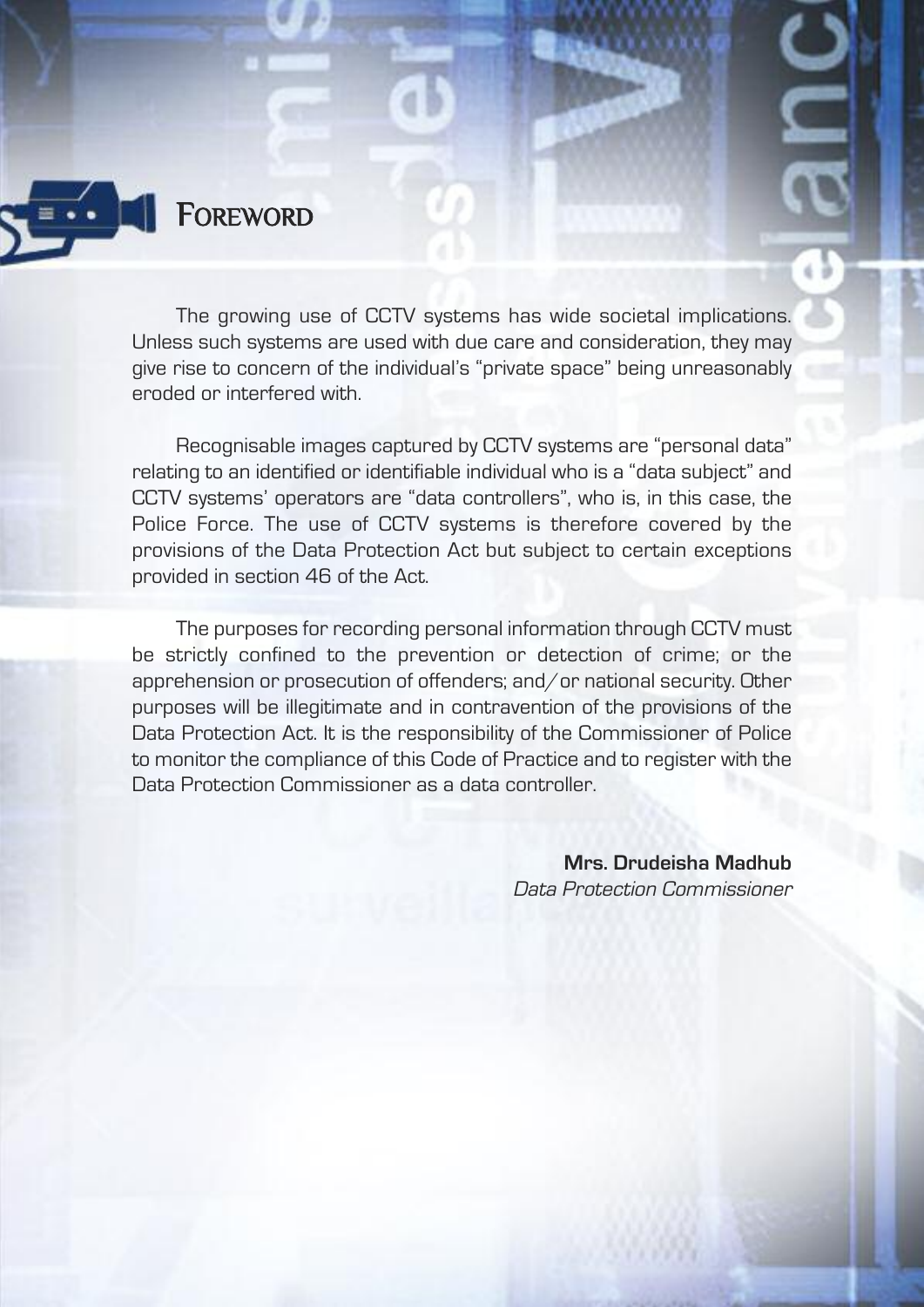## **FOREWORD**

The growing use of CCTV systems has wide societal implications. Unless such systems are used with due care and consideration, they may give rise to concern of the individual's "private space" being unreasonably eroded or interfered with.

Recognisable images captured by CCTV systems are "personal data" relating to an identified or identifiable individual who is a "data subject" and CCTV systems' operators are "data controllers", who is, in this case, the Police Force. The use of CCTV systems is therefore covered by the provisions of the Data Protection Act but subject to certain exceptions provided in section 46 of the Act.

The purposes for recording personal information through CCTV must be strictly confined to the prevention or detection of crime; or the apprehension or prosecution of offenders; and/or national security. Other purposes will be illegitimate and in contravention of the provisions of the Data Protection Act. It is the responsibility of the Commissioner of Police to monitor the compliance of this Code of Practice and to register with the Data Protection Commissioner as a data controller.

> **Mrs. drudeisha Madhub** Data Protection Commissioner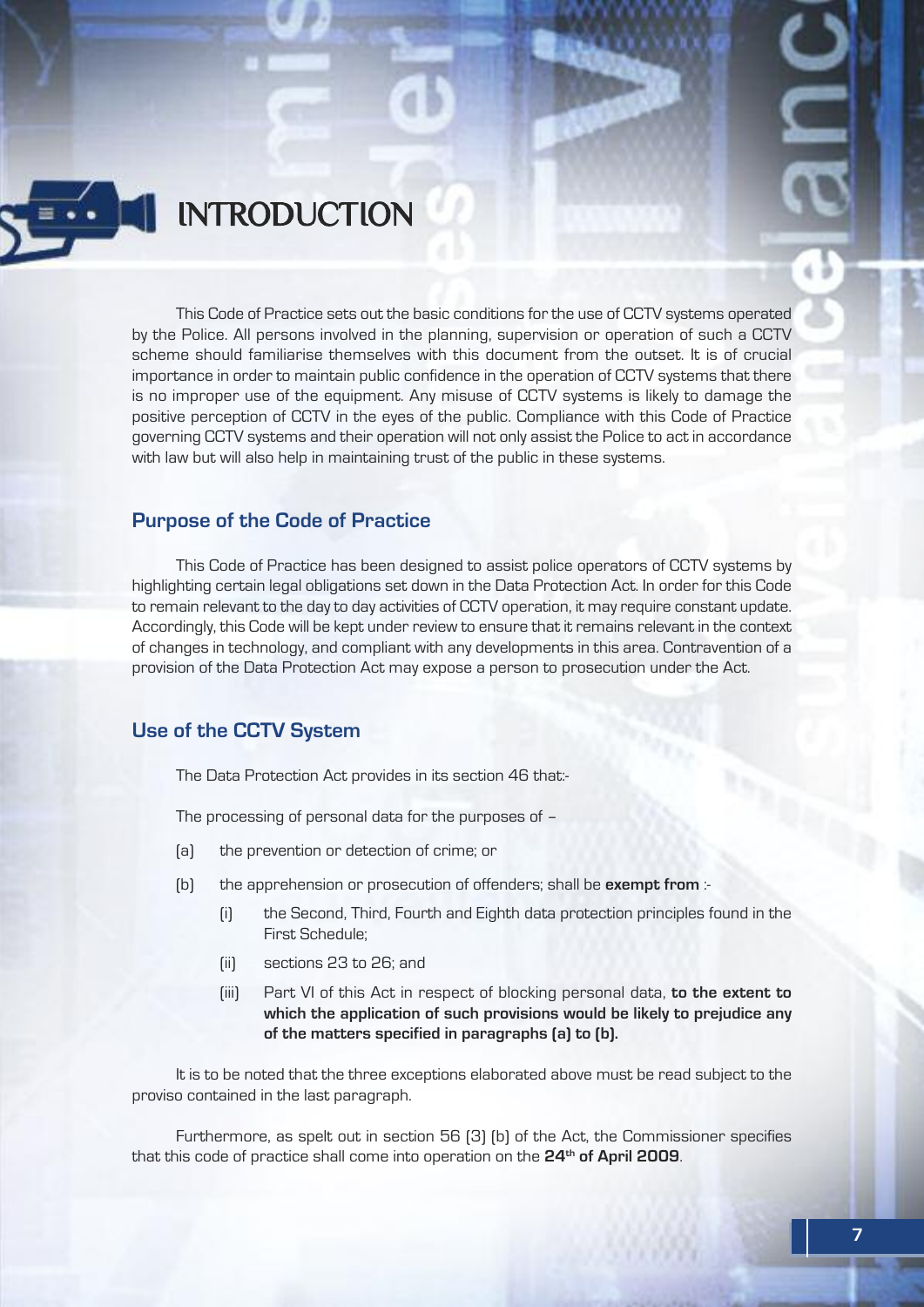

# **INTRODUCTION**

This Code of Practice sets out the basic conditions for the use of CCTV systems operated by the Police. All persons involved in the planning, supervision or operation of such a CCTV scheme should familiarise themselves with this document from the outset. It is of crucial importance in order to maintain public confidence in the operation of CCTV systems that there is no improper use of the equipment. Any misuse of CCTV systems is likely to damage the positive perception of CCTV in the eyes of the public. Compliance with this Code of Practice governing CCTV systems and their operation will not only assist the Police to act in accordance with law but will also help in maintaining trust of the public in these systems.

#### **Purpose of the Code of Practice**

This Code of Practice has been designed to assist police operators of CCTV systems by highlighting certain legal obligations set down in the Data Protection Act. In order for this Code to remain relevant to the day to day activities of CCTV operation, it may require constant update. Accordingly, this Code will be kept under review to ensure that it remains relevant in the context of changes in technology, and compliant with any developments in this area. Contravention of a provision of the Data Protection Act may expose a person to prosecution under the Act.

#### **Use of the CCTV System**

The Data Protection Act provides in its section 46 that:-

The processing of personal data for the purposes of –

- (a) the prevention or detection of crime; or
- (b) the apprehension or prosecution of offenders; shall be **exempt from** :-
	- (i) the Second, Third, Fourth and Eighth data protection principles found in the First Schedule;
	- (ii) sections 23 to 26; and
	- (iii) Part VI of this Act in respect of blocking personal data, **to the extent to which the application of such provisions would be likely to prejudice any of the matters specified in paragraphs (a) to (b).**

It is to be noted that the three exceptions elaborated above must be read subject to the proviso contained in the last paragraph.

Furthermore, as spelt out in section 56 (3) (b) of the Act, the Commissioner specifies that this code of practice shall come into operation on the **24th of April 2009**.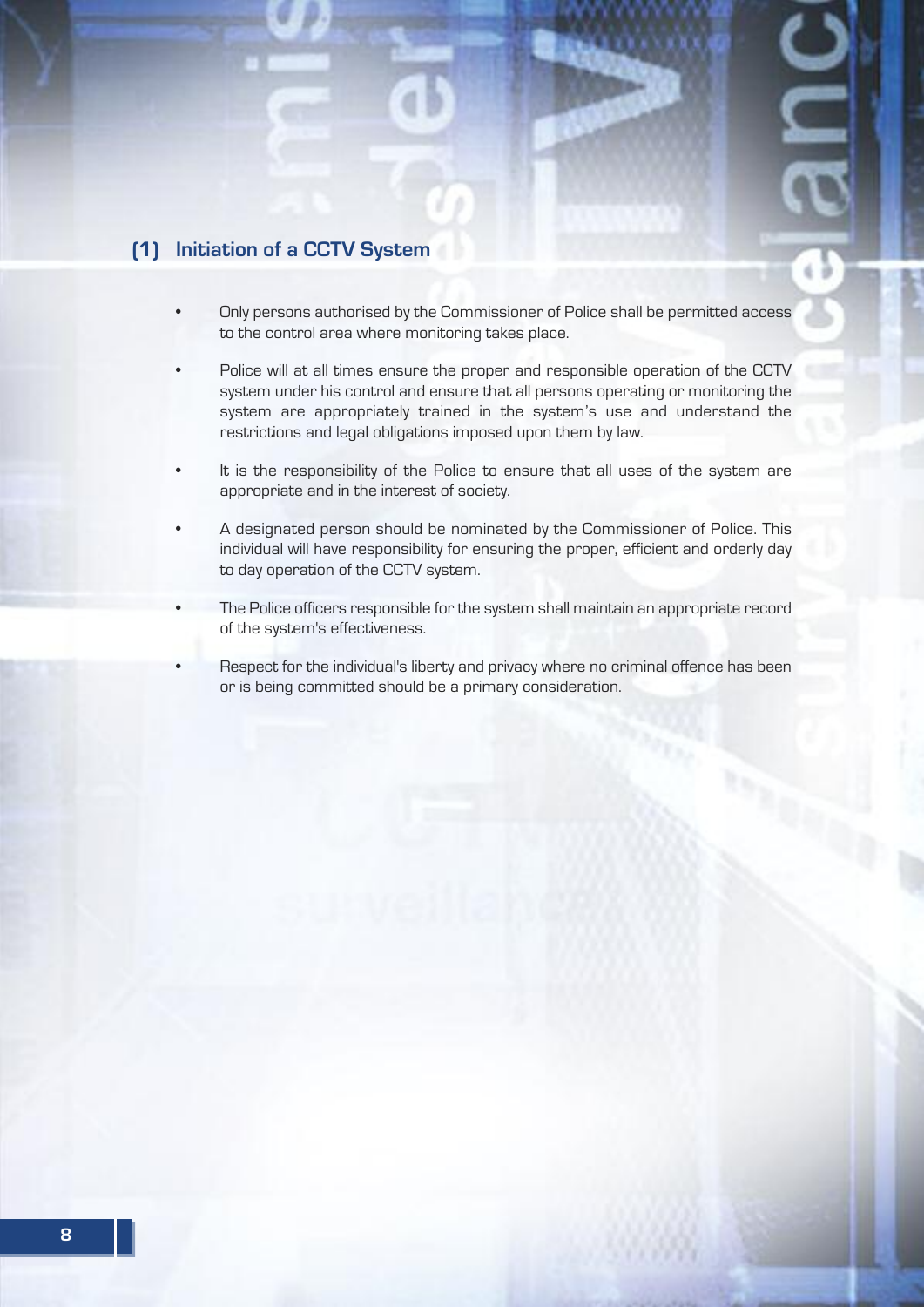### **(1) Initiation of a CCTV System**

- Only persons authorised by the Commissioner of Police shall be permitted access to the control area where monitoring takes place.
- Police will at all times ensure the proper and responsible operation of the CCTV system under his control and ensure that all persons operating or monitoring the system are appropriately trained in the system's use and understand the restrictions and legal obligations imposed upon them by law.
- It is the responsibility of the Police to ensure that all uses of the system are appropriate and in the interest of society.
- A designated person should be nominated by the Commissioner of Police. This individual will have responsibility for ensuring the proper, efficient and orderly day to day operation of the CCTV system.
- The Police officers responsible for the system shall maintain an appropriate record of the system's effectiveness.
- Respect for the individual's liberty and privacy where no criminal offence has been or is being committed should be a primary consideration.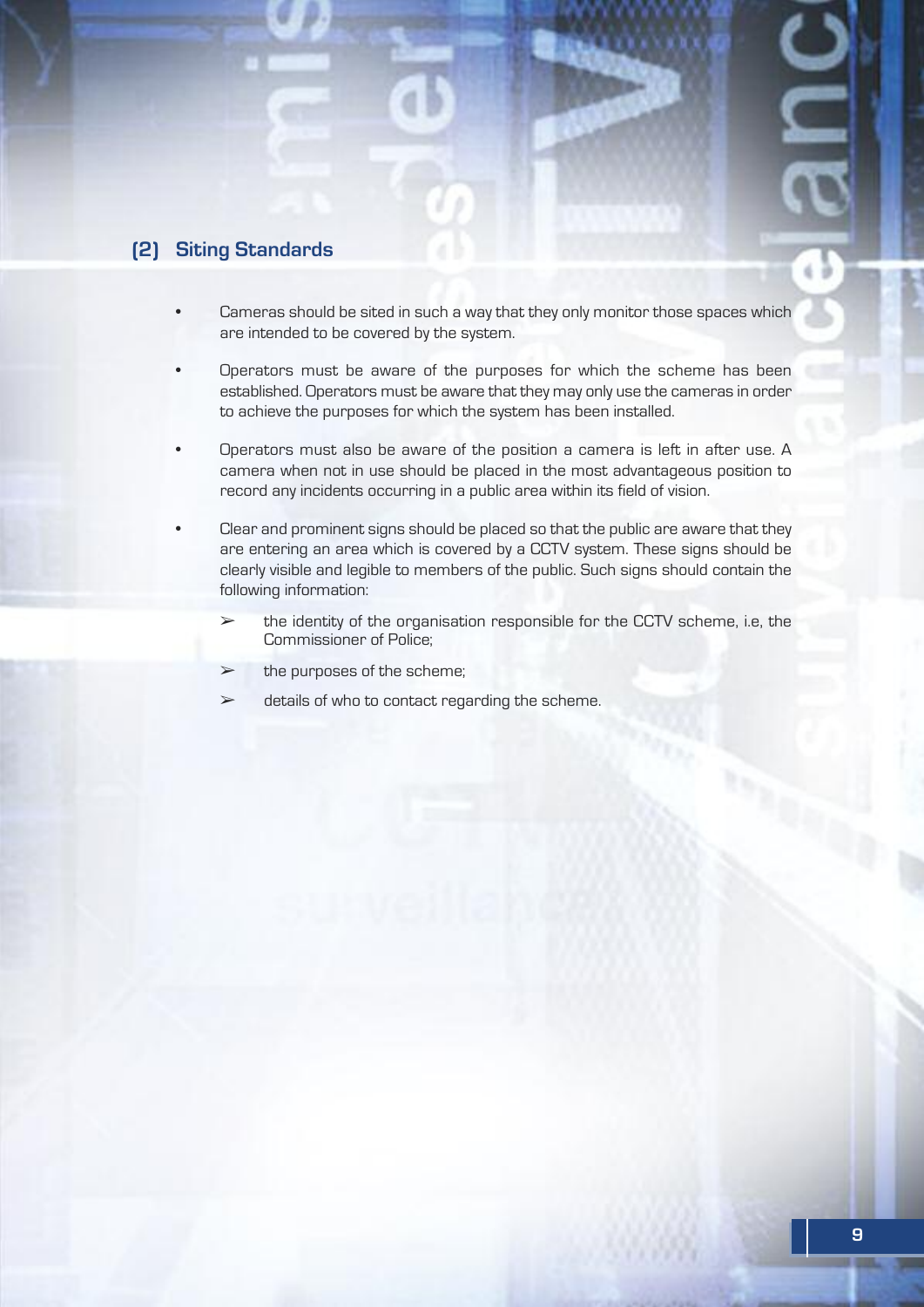#### **(2) Siting Standards**

- Cameras should be sited in such a way that they only monitor those spaces which are intended to be covered by the system.
- Operators must be aware of the purposes for which the scheme has been established. Operators must be aware that they may only use the cameras in order to achieve the purposes for which the system has been installed.
- Operators must also be aware of the position a camera is left in after use. A camera when not in use should be placed in the most advantageous position to record any incidents occurring in a public area within its field of vision.
- Clear and prominent signs should be placed so that the public are aware that they are entering an area which is covered by a CCTV system. These signs should be clearly visible and legible to members of the public. Such signs should contain the following information:
	- $\geq$  the identity of the organisation responsible for the CCTV scheme, i.e. the Commissioner of Police;
	- $\triangleright$  the purposes of the scheme;
	- $\triangleright$  details of who to contact regarding the scheme.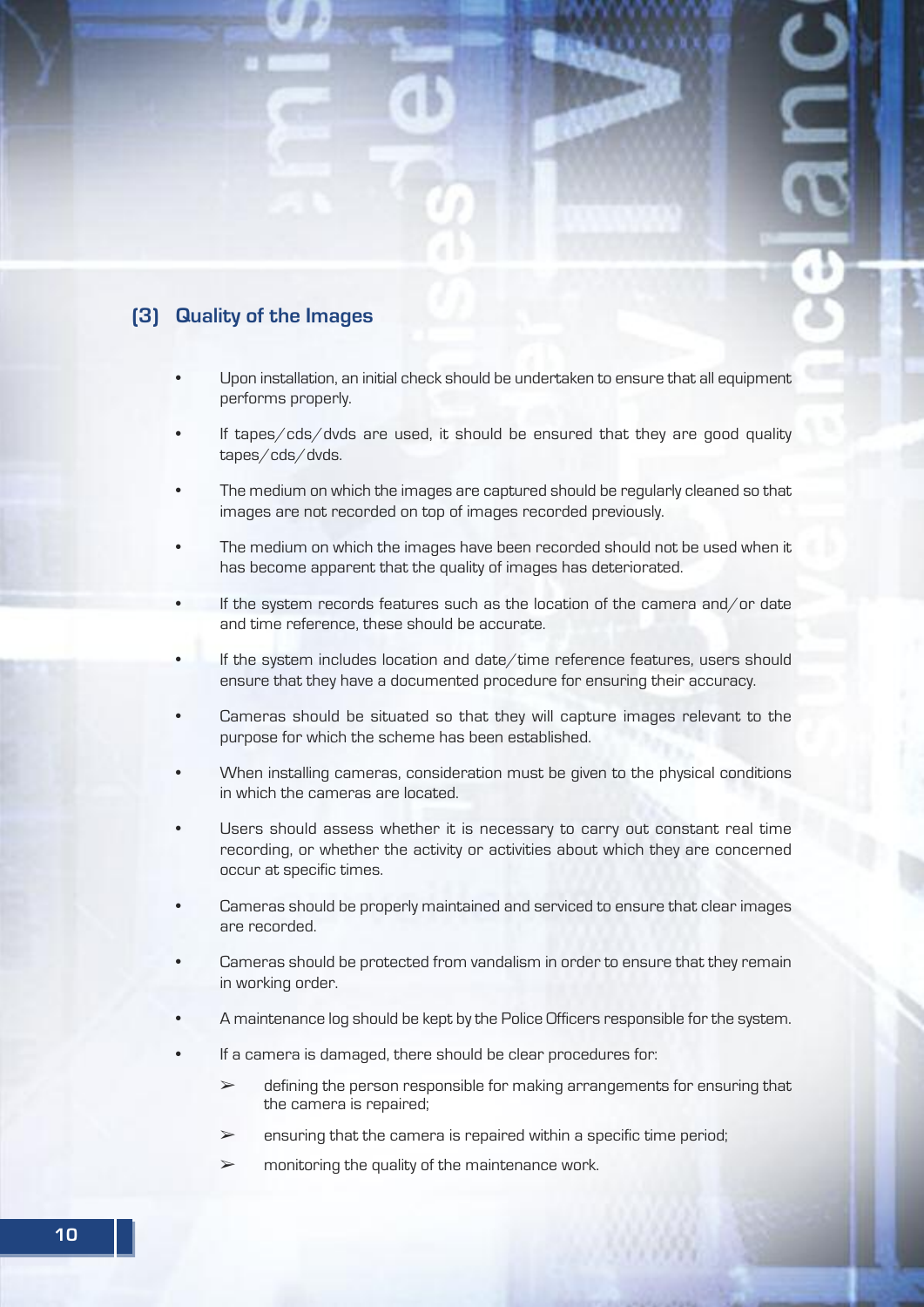#### **(3) Quality of the Images**

- Upon installation, an initial check should be undertaken to ensure that all equipment performs properly.
- If tapes/cds/dvds are used, it should be ensured that they are good quality tapes/cds/dvds.
- The medium on which the images are captured should be regularly cleaned so that images are not recorded on top of images recorded previously.
- The medium on which the images have been recorded should not be used when it has become apparent that the quality of images has deteriorated.
- If the system records features such as the location of the camera and/or date and time reference, these should be accurate.
- If the system includes location and date/time reference features, users should ensure that they have a documented procedure for ensuring their accuracy.
- Cameras should be situated so that they will capture images relevant to the purpose for which the scheme has been established.
- When installing cameras, consideration must be given to the physical conditions in which the cameras are located.
- Users should assess whether it is necessary to carry out constant real time recording, or whether the activity or activities about which they are concerned occur at specific times.
- Cameras should be properly maintained and serviced to ensure that clear images are recorded.
- Cameras should be protected from vandalism in order to ensure that they remain in working order.
- A maintenance log should be kept by the Police Officers responsible for the system.
- If a camera is damaged, there should be clear procedures for:
	- $\triangleright$  defining the person responsible for making arrangements for ensuring that the camera is repaired;
	- $\geq$  ensuring that the camera is repaired within a specific time period;
	- $\geq$  monitoring the quality of the maintenance work.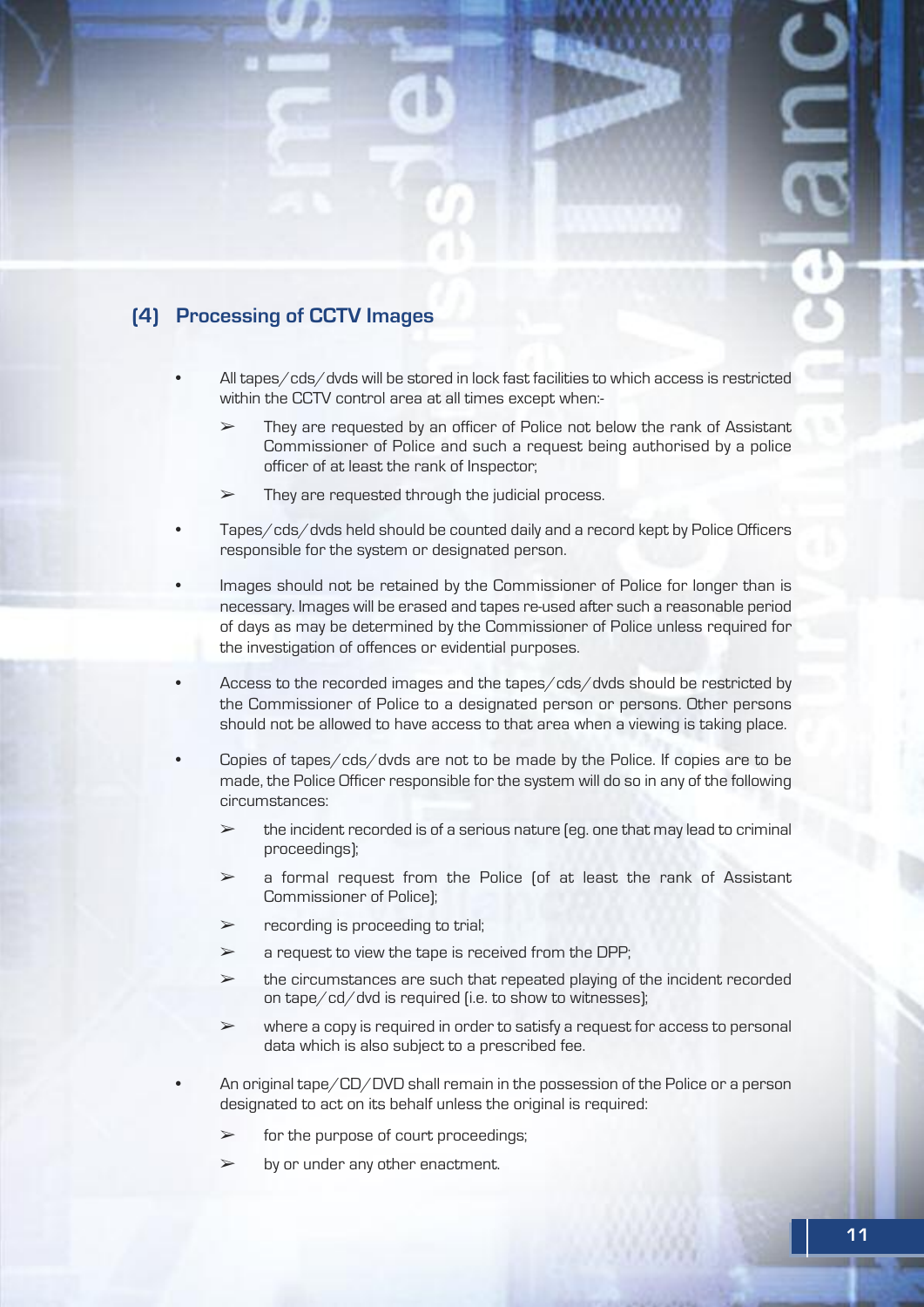### **(4) Processing of CCTV Images**

- All tapes/cds/dvds will be stored in lock fast facilities to which access is restricted within the CCTV control area at all times except when:-
	- $\triangleright$  They are requested by an officer of Police not below the rank of Assistant Commissioner of Police and such a request being authorised by a police officer of at least the rank of Inspector;
	- $\triangleright$  They are requested through the judicial process.
- Tapes/cds/dvds held should be counted daily and a record kept by Police Officers responsible for the system or designated person.
- Images should not be retained by the Commissioner of Police for longer than is necessary. Images will be erased and tapes re-used after such a reasonable period of days as may be determined by the Commissioner of Police unless required for the investigation of offences or evidential purposes.
- Access to the recorded images and the tapes/cds/dvds should be restricted by the Commissioner of Police to a designated person or persons. Other persons should not be allowed to have access to that area when a viewing is taking place.
- Copies of tapes/cds/dvds are not to be made by the Police. If copies are to be made, the Police Officer responsible for the system will do so in any of the following circumstances:
	- $\geq$  the incident recorded is of a serious nature (eq. one that may lead to criminal proceedings);
	- $\geq$  a formal request from the Police (of at least the rank of Assistant Commissioner of Police);
	- $\triangleright$  recording is proceeding to trial;
	- $\geq$  a request to view the tape is received from the DPP;
	- $\triangleright$  the circumstances are such that repeated playing of the incident recorded on tape/cd/dvd is required (i.e. to show to witnesses);
	- $\triangleright$  where a copy is required in order to satisfy a request for access to personal data which is also subject to a prescribed fee.
- An original tape/CD/DVD shall remain in the possession of the Police or a person designated to act on its behalf unless the original is required:
	- $\triangleright$  for the purpose of court proceedings;
	- $\triangleright$  by or under any other enactment.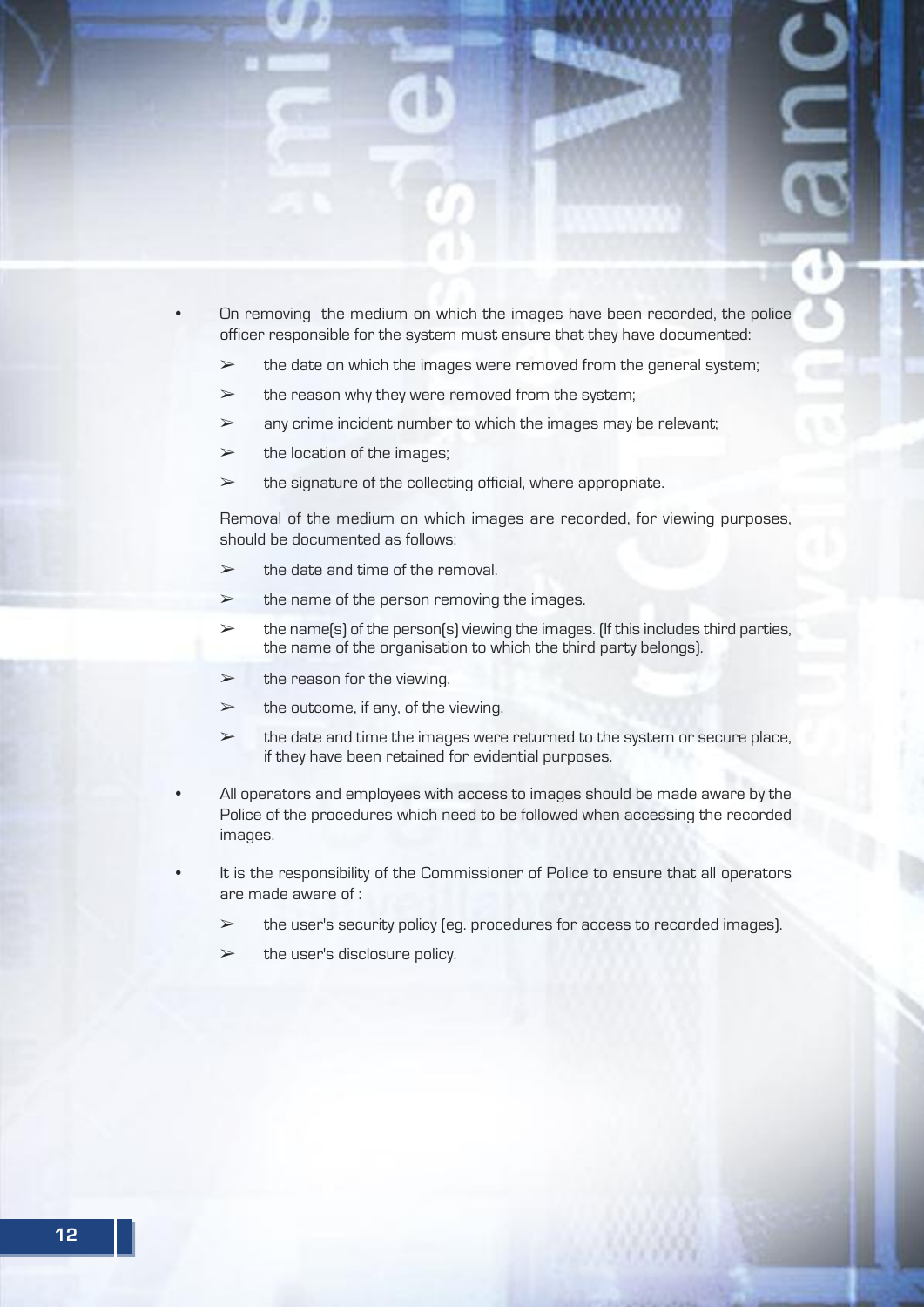- On removing the medium on which the images have been recorded, the police officer responsible for the system must ensure that they have documented:
	- $\triangleright$  the date on which the images were removed from the general system;
	- $\triangleright$  the reason why they were removed from the system;
	- $\triangleright$  any crime incident number to which the images may be relevant;
	- $\triangleright$  the location of the images;
	- $\geq$  the signature of the collecting official, where appropriate.

Removal of the medium on which images are recorded, for viewing purposes, should be documented as follows:

- $\geq$  the date and time of the removal.
- $\triangleright$  the name of the person removing the images.
- $\triangleright$  the name(s) of the person(s) viewing the images. (If this includes third parties, the name of the organisation to which the third party belongs).
- $\triangleright$  the reason for the viewing.
- $\triangleright$  the outcome, if any, of the viewing.
- $\triangleright$  the date and time the images were returned to the system or secure place, if they have been retained for evidential purposes.
- All operators and employees with access to images should be made aware by the Police of the procedures which need to be followed when accessing the recorded images.
- It is the responsibility of the Commissioner of Police to ensure that all operators are made aware of :
	- ➢ the user's security policy (eg. procedures for access to recorded images).
	- $\triangleright$  the user's disclosure policy.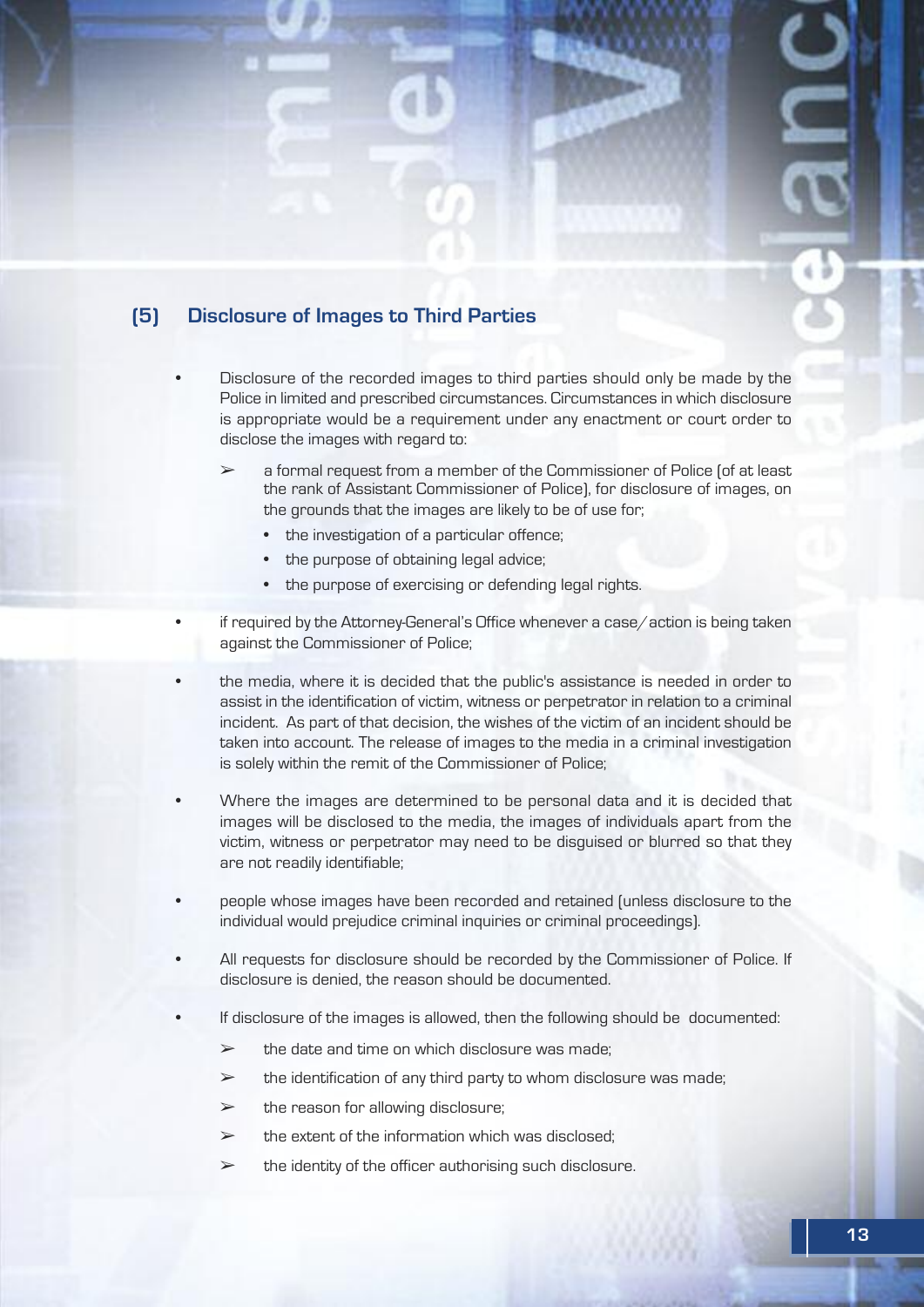

- Disclosure of the recorded images to third parties should only be made by the Police in limited and prescribed circumstances. Circumstances in which disclosure is appropriate would be a requirement under any enactment or court order to disclose the images with regard to:
	- ➢ a formal request from a member of the Commissioner of Police (of at least the rank of Assistant Commissioner of Police), for disclosure of images, on the grounds that the images are likely to be of use for;
		- the investigation of a particular offence;
		- the purpose of obtaining legal advice;
		- the purpose of exercising or defending legal rights.
- if required by the Attorney-General's Office whenever a case/action is being taken against the Commissioner of Police;
- the media, where it is decided that the public's assistance is needed in order to assist in the identification of victim, witness or perpetrator in relation to a criminal incident. As part of that decision, the wishes of the victim of an incident should be taken into account. The release of images to the media in a criminal investigation is solely within the remit of the Commissioner of Police;
- Where the images are determined to be personal data and it is decided that images will be disclosed to the media, the images of individuals apart from the victim, witness or perpetrator may need to be disguised or blurred so that they are not readily identifiable;
- people whose images have been recorded and retained (unless disclosure to the individual would prejudice criminal inquiries or criminal proceedings).
- All requests for disclosure should be recorded by the Commissioner of Police. If disclosure is denied, the reason should be documented.
- If disclosure of the images is allowed, then the following should be documented:
	- $\geq$  the date and time on which disclosure was made:
	- $\triangleright$  the identification of any third party to whom disclosure was made;
	- $\geq$  the reason for allowing disclosure;
	- $\geq$  the extent of the information which was disclosed:
	- $\triangleright$  the identity of the officer authorising such disclosure.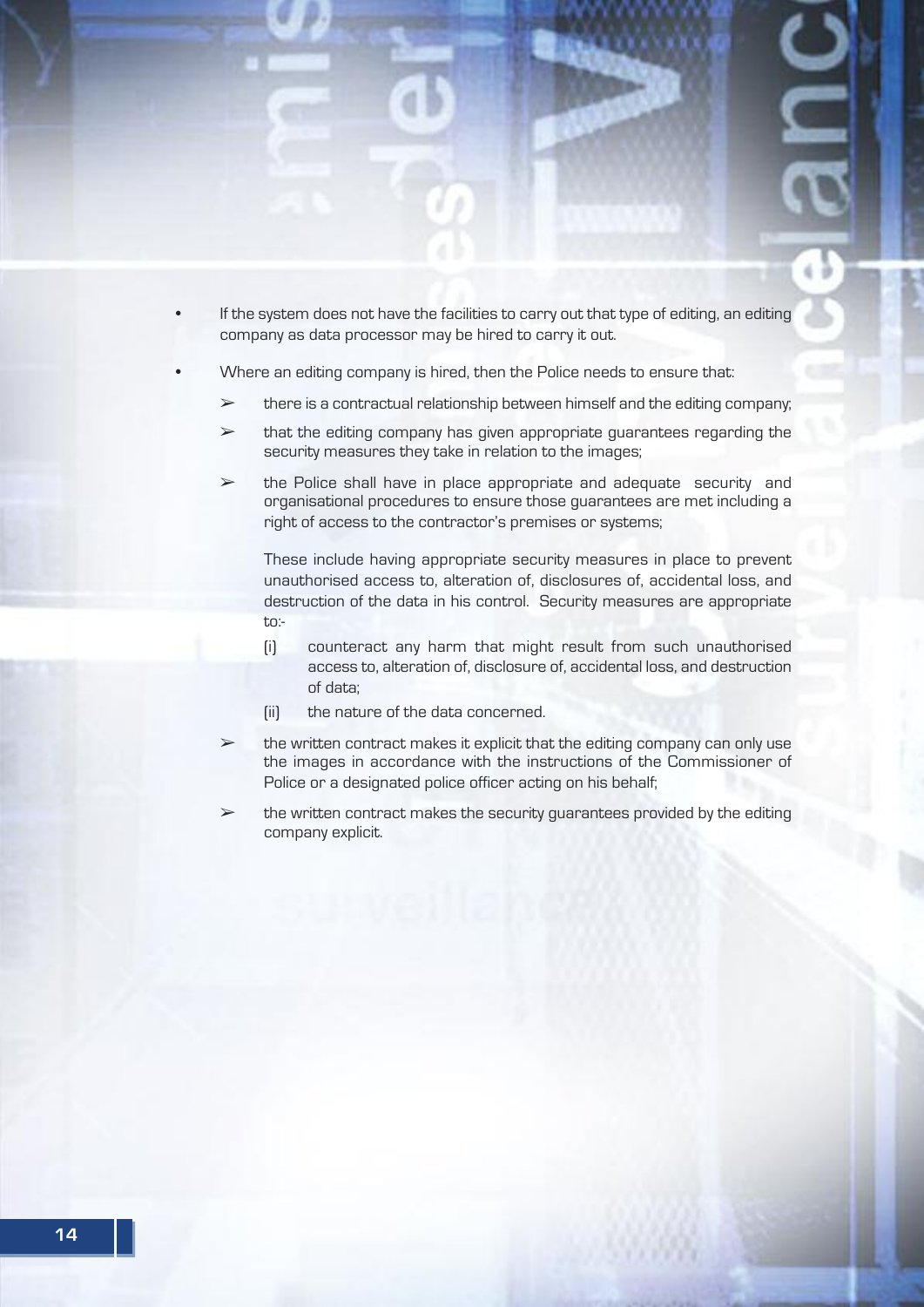- If the system does not have the facilities to carry out that type of editing, an editing company as data processor may be hired to carry it out.
- Where an editing company is hired, then the Police needs to ensure that:
	- $\geq$  there is a contractual relationship between himself and the editing company;
	- $\triangleright$  that the editing company has given appropriate guarantees regarding the security measures they take in relation to the images;
	- $\geq$  the Police shall have in place appropriate and adequate security and organisational procedures to ensure those guarantees are met including a right of access to the contractor's premises or systems;

These include having appropriate security measures in place to prevent unauthorised access to, alteration of, disclosures of, accidental loss, and destruction of the data in his control. Security measures are appropriate to:-

- (i) counteract any harm that might result from such unauthorised access to, alteration of, disclosure of, accidental loss, and destruction of data;
- (ii) the nature of the data concerned.
- ➢ the written contract makes it explicit that the editing company can only use the images in accordance with the instructions of the Commissioner of Police or a designated police officer acting on his behalf;
- $\triangleright$  the written contract makes the security guarantees provided by the editing company explicit.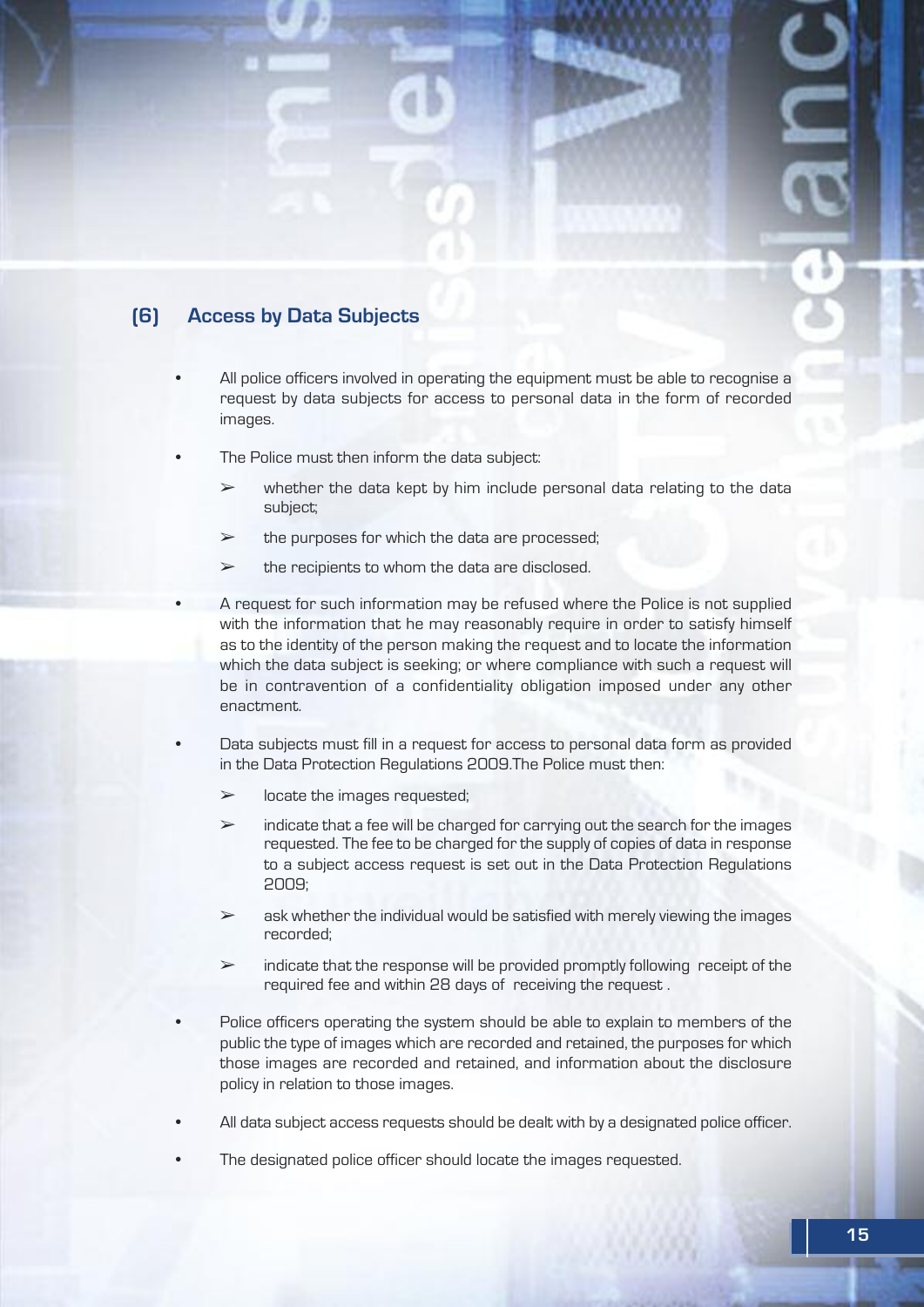### **(6) Access by data Subjects**

- All police officers involved in operating the equipment must be able to recognise a request by data subjects for access to personal data in the form of recorded images.
- The Police must then inform the data subject:
	- $\triangleright$  whether the data kept by him include personal data relating to the data subject;
	- $\geq$  the purposes for which the data are processed;
	- $\triangleright$  the recipients to whom the data are disclosed.
- A request for such information may be refused where the Police is not supplied with the information that he may reasonably require in order to satisfy himself as to the identity of the person making the request and to locate the information which the data subject is seeking; or where compliance with such a request will be in contravention of a confidentiality obligation imposed under any other enactment.
- Data subjects must fill in a request for access to personal data form as provided in the Data Protection Regulations 2009.The Police must then:
	- $\triangleright$  locate the images requested;
	- $\geq$  indicate that a fee will be charged for carrying out the search for the images requested. The fee to be charged for the supply of copies of data in response to a subject access request is set out in the Data Protection Regulations 2009;
	- $\geq$  ask whether the individual would be satisfied with merely viewing the images recorded;
	- $\geq$  indicate that the response will be provided promptly following receipt of the required fee and within 28 days of receiving the request .
- Police officers operating the system should be able to explain to members of the public the type of images which are recorded and retained, the purposes for which those images are recorded and retained, and information about the disclosure policy in relation to those images.
- All data subject access requests should be dealt with by a designated police officer.
- The designated police officer should locate the images requested.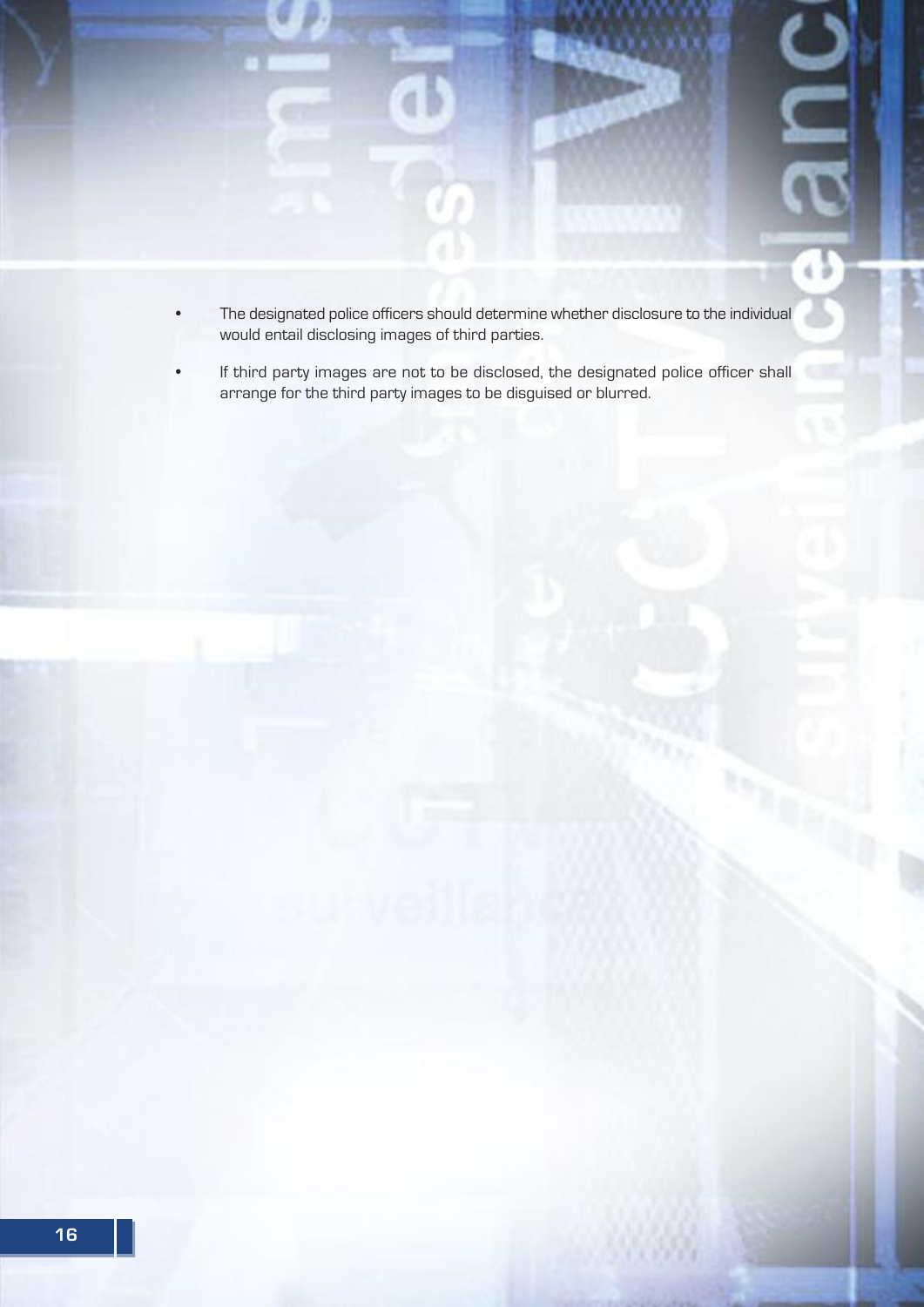

- The designated police officers should determine whether disclosure to the individual would entail disclosing images of third parties.
- If third party images are not to be disclosed, the designated police officer shall arrange for the third party images to be disguised or blurred.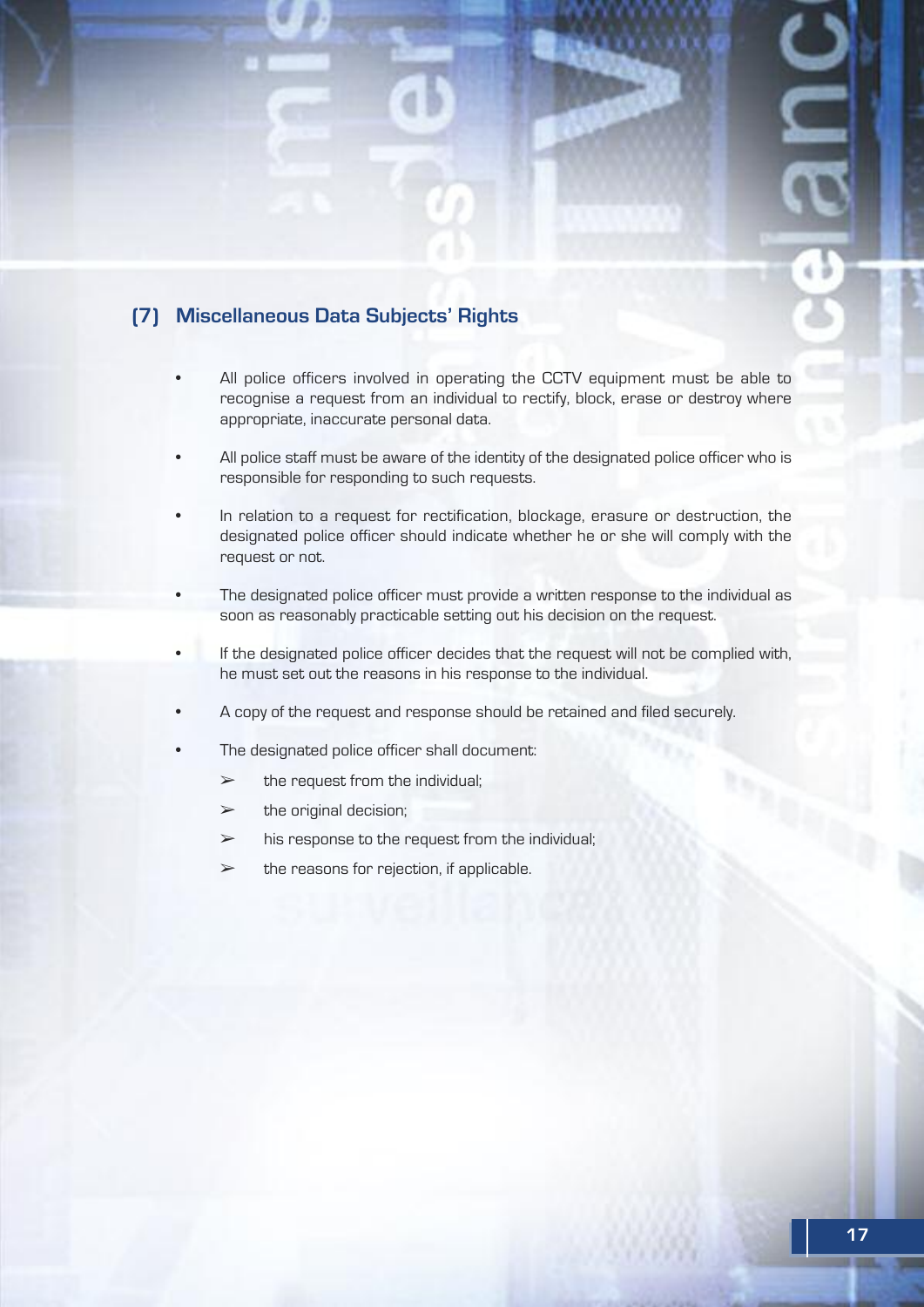### **(7) Miscellaneous data Subjects' Rights**

- All police officers involved in operating the CCTV equipment must be able to recognise a request from an individual to rectify, block, erase or destroy where appropriate, inaccurate personal data.
- All police staff must be aware of the identity of the designated police officer who is responsible for responding to such requests.
- In relation to a request for rectification, blockage, erasure or destruction, the designated police officer should indicate whether he or she will comply with the request or not.
- The designated police officer must provide a written response to the individual as soon as reasonably practicable setting out his decision on the request.
- If the designated police officer decides that the request will not be complied with, he must set out the reasons in his response to the individual.
- A copy of the request and response should be retained and filed securely.
- The designated police officer shall document:
	- $\triangleright$  the request from the individual;
	- $\triangleright$  the original decision;
	- $\triangleright$  his response to the request from the individual;
	- $\triangleright$  the reasons for rejection, if applicable.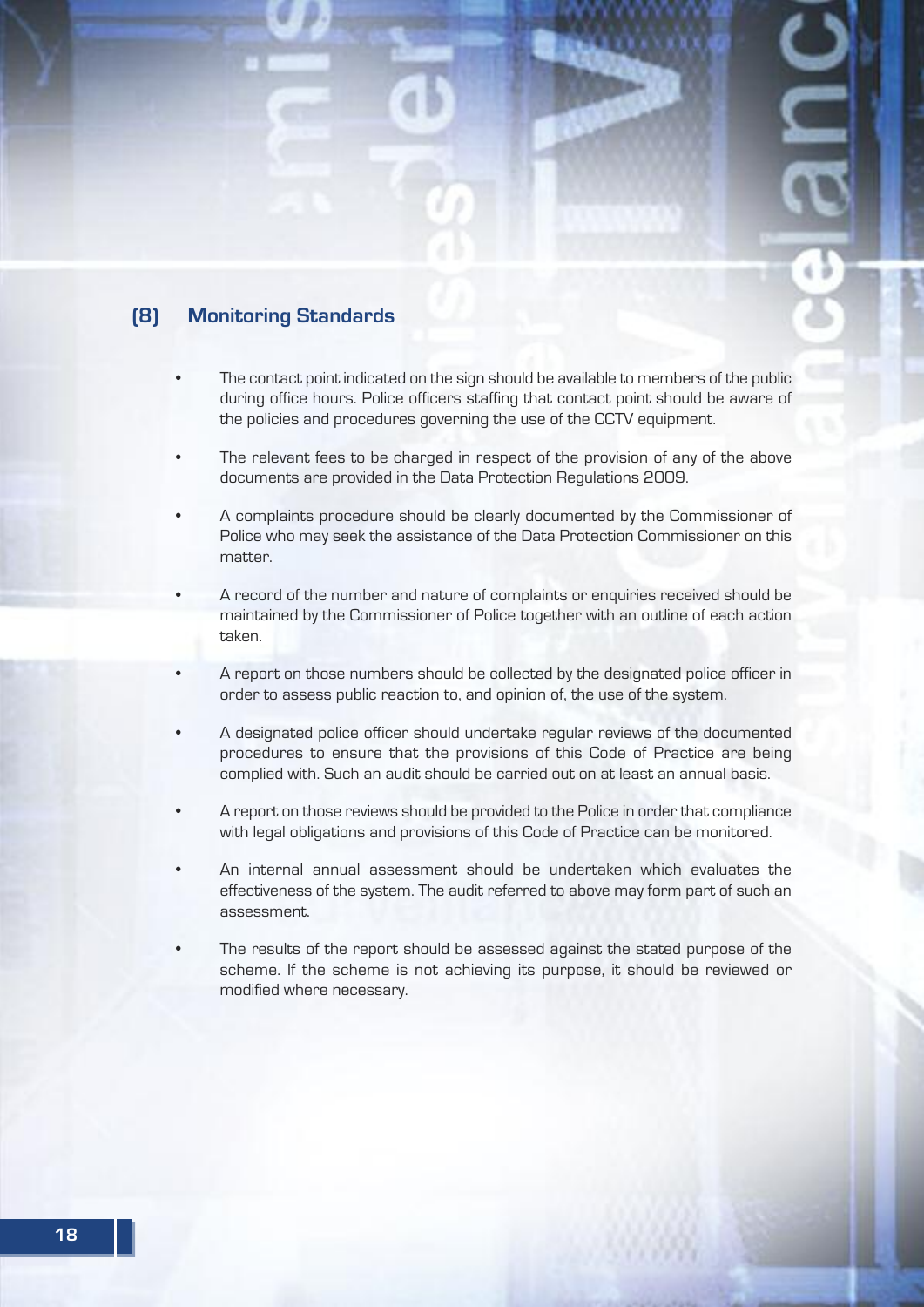#### **(8) Monitoring Standards**

- The contact point indicated on the sign should be available to members of the public during office hours. Police officers staffing that contact point should be aware of the policies and procedures governing the use of the CCTV equipment.
- The relevant fees to be charged in respect of the provision of any of the above documents are provided in the Data Protection Regulations 2009.
- A complaints procedure should be clearly documented by the Commissioner of Police who may seek the assistance of the Data Protection Commissioner on this matter
- A record of the number and nature of complaints or enquiries received should be maintained by the Commissioner of Police together with an outline of each action taken.
- A report on those numbers should be collected by the designated police officer in order to assess public reaction to, and opinion of, the use of the system.
- A designated police officer should undertake regular reviews of the documented procedures to ensure that the provisions of this Code of Practice are being complied with. Such an audit should be carried out on at least an annual basis.
- A report on those reviews should be provided to the Police in order that compliance with legal obligations and provisions of this Code of Practice can be monitored.
- An internal annual assessment should be undertaken which evaluates the effectiveness of the system. The audit referred to above may form part of such an assessment.
- The results of the report should be assessed against the stated purpose of the scheme. If the scheme is not achieving its purpose, it should be reviewed or modified where necessary.